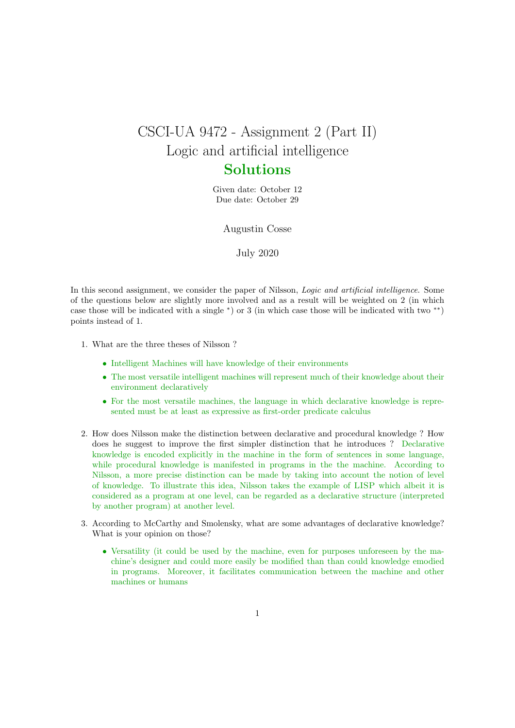## CSCI-UA 9472 - Assignment 2 (Part II) Logic and artificial intelligence Solutions

Given date: October 12 Due date: October 29

Augustin Cosse

July 2020

In this second assignment, we consider the paper of Nilsson, *Logic and artificial intelligence*. Some of the questions below are slightly more involved and as a result will be weighted on 2 (in which case those will be indicated with a single <sup>∗</sup> ) or 3 (in which case those will be indicated with two ∗∗) points instead of 1.

- 1. What are the three theses of Nilsson ?
	- Intelligent Machines will have knowledge of their environments
	- The most versatile intelligent machines will represent much of their knowledge about their environment declaratively
	- For the most versatile machines, the language in which declarative knowledge is represented must be at least as expressive as first-order predicate calculus
- 2. How does Nilsson make the distinction between declarative and procedural knowledge ? How does he suggest to improve the first simpler distinction that he introduces ? Declarative knowledge is encoded explicitly in the machine in the form of sentences in some language, while procedural knowledge is manifested in programs in the the machine. According to Nilsson, a more precise distinction can be made by taking into account the notion of level of knowledge. To illustrate this idea, Nilsson takes the example of LISP which albeit it is considered as a program at one level, can be regarded as a declarative structure (interpreted by another program) at another level.
- 3. According to McCarthy and Smolensky, what are some advantages of declarative knowledge? What is your opinion on those?
	- Versatility (it could be used by the machine, even for purposes unforeseen by the machine's designer and could more easily be modified than than could knowledge emodied in programs. Moreover, it facilitates communication between the machine and other machines or humans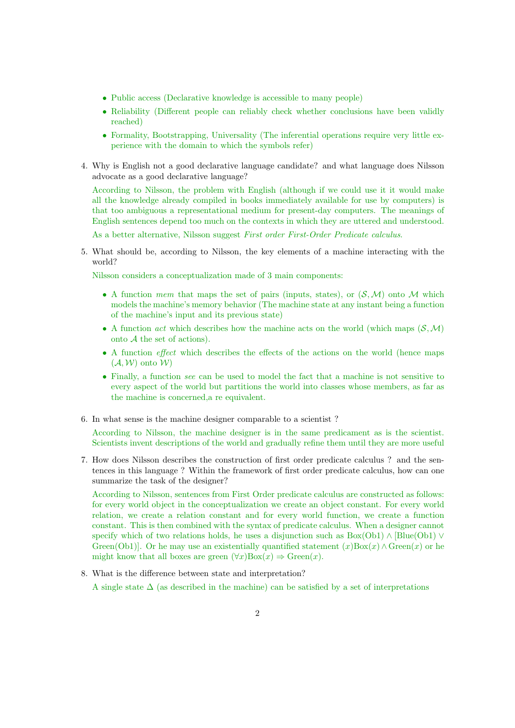- Public access (Declarative knowledge is accessible to many people)
- Reliability (Different people can reliably check whether conclusions have been validly reached)
- Formality, Bootstrapping, Universality (The inferential operations require very little experience with the domain to which the symbols refer)
- 4. Why is English not a good declarative language candidate? and what language does Nilsson advocate as a good declarative language?

According to Nilsson, the problem with English (although if we could use it it would make all the knowledge already compiled in books immediately available for use by computers) is that too ambiguous a representational medium for present-day computers. The meanings of English sentences depend too much on the contexts in which they are uttered and understood.

As a better alternative, Nilsson suggest First order First-Order Predicate calculus.

5. What should be, according to Nilsson, the key elements of a machine interacting with the world?

Nilsson considers a conceptualization made of 3 main components:

- A function mem that maps the set of pairs (inputs, states), or  $(S, \mathcal{M})$  onto M which models the machine's memory behavior (The machine state at any instant being a function of the machine's input and its previous state)
- A function *act* which describes how the machine acts on the world (which maps  $(S, M)$ ) onto A the set of actions).
- A function *effect* which describes the effects of the actions on the world (hence maps  $(\mathcal{A}, \mathcal{W})$  onto  $\mathcal{W}$
- Finally, a function see can be used to model the fact that a machine is not sensitive to every aspect of the world but partitions the world into classes whose members, as far as the machine is concerned,a re equivalent.
- 6. In what sense is the machine designer comparable to a scientist ?

According to Nilsson, the machine designer is in the same predicament as is the scientist. Scientists invent descriptions of the world and gradually refine them until they are more useful

7. How does Nilsson describes the construction of first order predicate calculus ? and the sentences in this language ? Within the framework of first order predicate calculus, how can one summarize the task of the designer?

According to Nilsson, sentences from First Order predicate calculus are constructed as follows: for every world object in the conceptualization we create an object constant. For every world relation, we create a relation constant and for every world function, we create a function constant. This is then combined with the syntax of predicate calculus. When a designer cannot specify which of two relations holds, he uses a disjunction such as  $Box(Ob1) \wedge [Blue(Ob1) \vee$ Green(Ob1)]. Or he may use an existentially quantified statement  $(x)$ Box $(x) \wedge$ Green $(x)$  or he might know that all boxes are green  $(\forall x)$ Box $(x) \Rightarrow$  Green $(x)$ .

8. What is the difference between state and interpretation?

A single state  $\Delta$  (as described in the machine) can be satisfied by a set of interpretations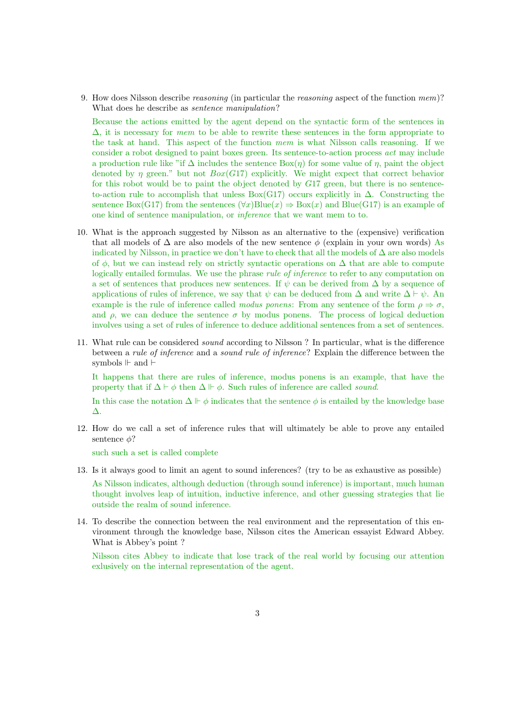9. How does Nilsson describe reasoning (in particular the reasoning aspect of the function mem)? What does he describe as sentence manipulation?

Because the actions emitted by the agent depend on the syntactic form of the sentences in  $\Delta$ , it is necessary for mem to be able to rewrite these sentences in the form appropriate to the task at hand. This aspect of the function mem is what Nilsson calls reasoning. If we consider a robot designed to paint boxes green. Its sentence-to-action process act may include a production rule like "if  $\Delta$  includes the sentence  $Box(\eta)$  for some value of  $\eta$ , paint the object denoted by  $\eta$  green." but not  $Box(G17)$  explicitly. We might expect that correct behavior for this robot would be to paint the object denoted by G17 green, but there is no sentenceto-action rule to accomplish that unless Box(G17) occurs explicitly in  $\Delta$ . Constructing the sentence Box(G17) from the sentences  $(\forall x)$ Blue $(x) \Rightarrow$ Box(x) and Blue(G17) is an example of one kind of sentence manipulation, or inference that we want mem to to.

- 10. What is the approach suggested by Nilsson as an alternative to the (expensive) verification that all models of  $\Delta$  are also models of the new sentence  $\phi$  (explain in your own words) As indicated by Nilsson, in practice we don't have to check that all the models of  $\Delta$  are also models of  $\phi$ , but we can instead rely on strictly syntactic operations on  $\Delta$  that are able to compute logically entailed formulas. We use the phrase *rule of inference* to refer to any computation on a set of sentences that produces new sentences. If  $\psi$  can be derived from  $\Delta$  by a sequence of applications of rules of inference, we say that  $\psi$  can be deduced from  $\Delta$  and write  $\Delta \vdash \psi$ . An example is the rule of inference called modus ponens: From any sentence of the form  $\rho \Rightarrow \sigma$ , and  $\rho$ , we can deduce the sentence  $\sigma$  by modus ponens. The process of logical deduction involves using a set of rules of inference to deduce additional sentences from a set of sentences.
- 11. What rule can be considered sound according to Nilsson ? In particular, what is the difference between a rule of inference and a sound rule of inference? Explain the difference between the symbols  $\Vdash$  and  $\vdash$

It happens that there are rules of inference, modus ponens is an example, that have the property that if  $\Delta \vdash \phi$  then  $\Delta \Vdash \phi$ . Such rules of inference are called *sound*.

In this case the notation  $\Delta \Vdash \phi$  indicates that the sentence  $\phi$  is entailed by the knowledge base ∆.

12. How do we call a set of inference rules that will ultimately be able to prove any entailed sentence  $\phi$ ?

such such a set is called complete

- 13. Is it always good to limit an agent to sound inferences? (try to be as exhaustive as possible) As Nilsson indicates, although deduction (through sound inference) is important, much human thought involves leap of intuition, inductive inference, and other guessing strategies that lie outside the realm of sound inference.
- 14. To describe the connection between the real environment and the representation of this environment through the knowledge base, Nilsson cites the American essayist Edward Abbey. What is Abbey's point ?

Nilsson cites Abbey to indicate that lose track of the real world by focusing our attention exlusively on the internal representation of the agent.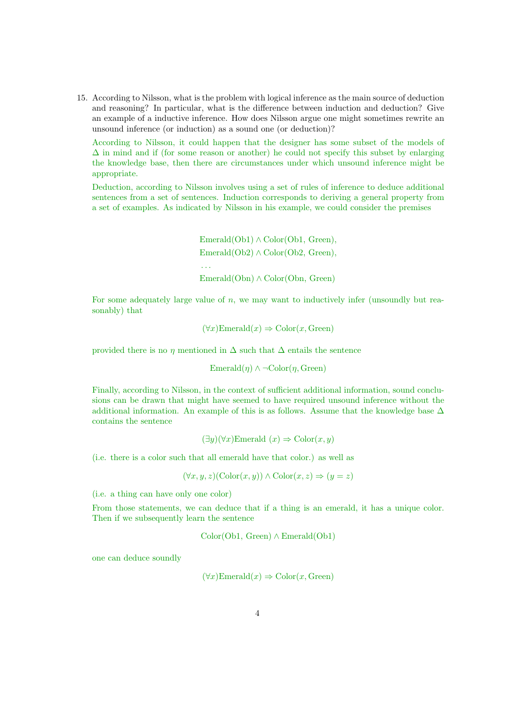15. According to Nilsson, what is the problem with logical inference as the main source of deduction and reasoning? In particular, what is the difference between induction and deduction? Give an example of a inductive inference. How does Nilsson argue one might sometimes rewrite an unsound inference (or induction) as a sound one (or deduction)?

According to Nilsson, it could happen that the designer has some subset of the models of  $\Delta$  in mind and if (for some reason or another) he could not specify this subset by enlarging the knowledge base, then there are circumstances under which unsound inference might be appropriate.

Deduction, according to Nilsson involves using a set of rules of inference to deduce additional sentences from a set of sentences. Induction corresponds to deriving a general property from a set of examples. As indicated by Nilsson in his example, we could consider the premises

> $\text{Emerald}(\text{Ob}1) \wedge \text{Color}(\text{Ob}1, \text{Green}),$  $Emerald(Ob2) \wedge Color(Ob2, Green),$ . . . Emerald(Obn) ∧ Color(Obn, Green)

For some adequately large value of  $n$ , we may want to inductively infer (unsoundly but reasonably) that

 $(\forall x)$ Emerald $(x) \Rightarrow$  Color $(x,$  Green)

provided there is no  $\eta$  mentioned in  $\Delta$  such that  $\Delta$  entails the sentence

Emerald $(\eta) \wedge \neg \text{Color}(\eta, \text{Green})$ 

Finally, according to Nilsson, in the context of sufficient additional information, sound conclusions can be drawn that might have seemed to have required unsound inference without the additional information. An example of this is as follows. Assume that the knowledge base  $\Delta$ contains the sentence

 $(\exists y)(\forall x)$ Emerald  $(x) \Rightarrow \text{Color}(x, y)$ 

(i.e. there is a color such that all emerald have that color.) as well as

 $(\forall x, y, z)(\text{Color}(x, y)) \wedge \text{Color}(x, z) \Rightarrow (y = z)$ 

(i.e. a thing can have only one color)

From those statements, we can deduce that if a thing is an emerald, it has a unique color. Then if we subsequently learn the sentence

Color(Ob1, Green) ∧ Emerald(Ob1)

one can deduce soundly

$$
(\forall x)\text{Emerald}(x) \Rightarrow \text{Color}(x,\text{Green})
$$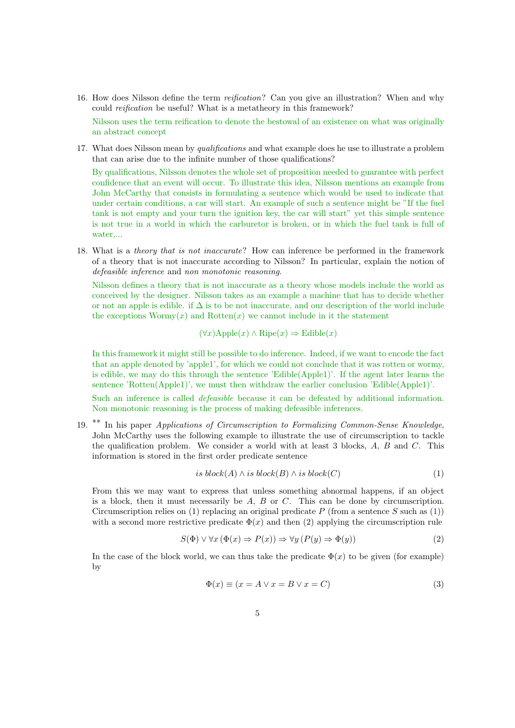- 16. How does Nilsson define the term reification? Can you give an illustration? When and why could reification be useful? What is a metatheory in this framework? Nilsson uses the term reification to denote the bestowal of an existence on what was originally an abstract concept
- 17. What does Nilsson mean by *qualifications* and what example does he use to illustrate a problem that can arise due to the infinite number of those qualifications?

By qualifications, Nilsson denotes the whole set of proposition needed to guarantee with perfect confidence that an event will occur. To illustrate this idea, Nilsson mentions an example from John McCarthy that consists in formulating a sentence which would be used to indicate that under certain conditions, a car will start. An example of such a sentence might be "If the fuel tank is not empty and your turn the ignition key, the car will start" yet this simple sentence is not true in a world in which the carburetor is broken, or in which the fuel tank is full of water,...

18. What is a theory that is not inaccurate? How can inference be performed in the framework of a theory that is not inaccurate according to Nilsson? In particular, explain the notion of defeasible inference and non monotonic reasoning.

Nilsson defines a theory that is not inaccurate as a theory whose models include the world as conceived by the designer. Nilsson takes as an example a machine that has to decide whether or not an apple is edible. if  $\Delta$  is to be not inaccurate, and our description of the world include the exceptions  $Wormy(x)$  and  $Rotten(x)$  we cannot include in it the statement

 $(\forall x)$ Apple $(x) \land$ Ripe $(x) \Rightarrow$ Edible $(x)$ 

In this framework it might still be possible to do inference. Indeed, if we want to encode the fact that an apple denoted by 'apple1', for which we could not conclude that it was rotten or wormy, is edible, we may do this through the sentence 'Edible(Apple1)'. If the agent later learns the sentence 'Rotten(Apple1)', we must then withdraw the earlier conclusion 'Edible(Apple1)'.

Such an inference is called *defeasible* because it can be defeated by additional information. Non monotonic reasoning is the process of making defeasible inferences.

19. <sup>\*\*</sup> In his paper Applications of Circumscription to Formalizing Common-Sense Knowledge, John McCarthy uses the following example to illustrate the use of circumscription to tackle the qualification problem. We consider a world with at least 3 blocks, A, B and C. This information is stored in the first order predicate sentence

<span id="page-4-0"></span>
$$
is \, block(A) \land is \, block(B) \land is \, block(C) \tag{1}
$$

From this we may want to express that unless something abnormal happens, if an object is a block, then it must necessarily be  $A$ ,  $B$  or  $C$ . This can be done by circumscription. Circumscription relies on [\(1\)](#page-4-0) replacing an original predicate P (from a sentence S such as (1)) with a second more restrictive predicate  $\Phi(x)$  and then (2) applying the circumscription rule

$$
S(\Phi) \lor \forall x (\Phi(x) \Rightarrow P(x)) \Rightarrow \forall y (P(y) \Rightarrow \Phi(y))
$$
\n(2)

In the case of the block world, we can thus take the predicate  $\Phi(x)$  to be given (for example) by

$$
\Phi(x) \equiv (x = A \lor x = B \lor x = C)
$$
\n(3)